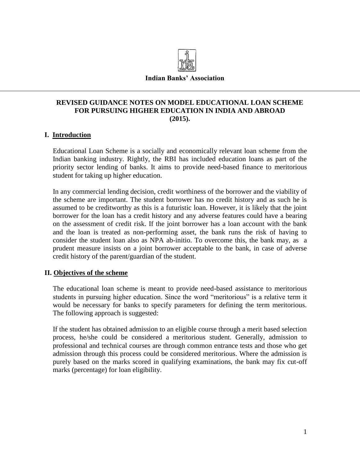

#### **Indian Banks' Association**

# **REVISED GUIDANCE NOTES ON MODEL EDUCATIONAL LOAN SCHEME FOR PURSUING HIGHER EDUCATION IN INDIA AND ABROAD (2015).**

### **I. Introduction**

Educational Loan Scheme is a socially and economically relevant loan scheme from the Indian banking industry. Rightly, the RBI has included education loans as part of the priority sector lending of banks. It aims to provide need-based finance to meritorious student for taking up higher education.

In any commercial lending decision, credit worthiness of the borrower and the viability of the scheme are important. The student borrower has no credit history and as such he is assumed to be creditworthy as this is a futuristic loan. However, it is likely that the joint borrower for the loan has a credit history and any adverse features could have a bearing on the assessment of credit risk. If the joint borrower has a loan account with the bank and the loan is treated as non-performing asset, the bank runs the risk of having to consider the student loan also as NPA ab-initio. To overcome this, the bank may, as a prudent measure insists on a joint borrower acceptable to the bank, in case of adverse credit history of the parent/guardian of the student.

# **II. Objectives of the scheme**

The educational loan scheme is meant to provide need-based assistance to meritorious students in pursuing higher education. Since the word "meritorious" is a relative term it would be necessary for banks to specify parameters for defining the term meritorious. The following approach is suggested:

If the student has obtained admission to an eligible course through a merit based selection process, he/she could be considered a meritorious student. Generally, admission to professional and technical courses are through common entrance tests and those who get admission through this process could be considered meritorious. Where the admission is purely based on the marks scored in qualifying examinations, the bank may fix cut-off marks (percentage) for loan eligibility.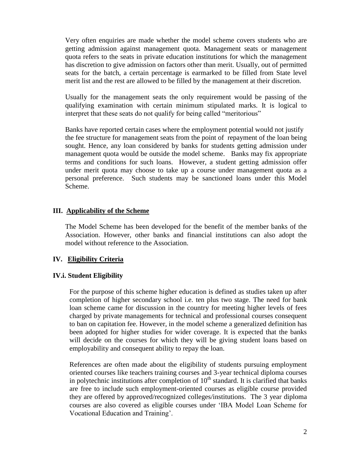Very often enquiries are made whether the model scheme covers students who are getting admission against management quota. Management seats or management quota refers to the seats in private education institutions for which the management has discretion to give admission on factors other than merit. Usually, out of permitted seats for the batch, a certain percentage is earmarked to be filled from State level merit list and the rest are allowed to be filled by the management at their discretion.

Usually for the management seats the only requirement would be passing of the qualifying examination with certain minimum stipulated marks. It is logical to interpret that these seats do not qualify for being called "meritorious"

 Banks have reported certain cases where the employment potential would not justify the fee structure for management seats from the point of repayment of the loan being sought. Hence, any loan considered by banks for students getting admission under management quota would be outside the model scheme. Banks may fix appropriate terms and conditions for such loans. However, a student getting admission offer under merit quota may choose to take up a course under management quota as a personal preference. Such students may be sanctioned loans under this Model Scheme.

### **III. Applicability of the Scheme**

The Model Scheme has been developed for the benefit of the member banks of the Association. However, other banks and financial institutions can also adopt the model without reference to the Association.

### **IV. Eligibility Criteria**

### **IV.i. Student Eligibility**

For the purpose of this scheme higher education is defined as studies taken up after completion of higher secondary school i.e. ten plus two stage. The need for bank loan scheme came for discussion in the country for meeting higher levels of fees charged by private managements for technical and professional courses consequent to ban on capitation fee. However, in the model scheme a generalized definition has been adopted for higher studies for wider coverage. It is expected that the banks will decide on the courses for which they will be giving student loans based on employability and consequent ability to repay the loan.

References are often made about the eligibility of students pursuing employment oriented courses like teachers training courses and 3-year technical diploma courses in polytechnic institutions after completion of  $10<sup>th</sup>$  standard. It is clarified that banks are free to include such employment-oriented courses as eligible course provided they are offered by approved/recognized colleges/institutions. The 3 year diploma courses are also covered as eligible courses under "IBA Model Loan Scheme for Vocational Education and Training".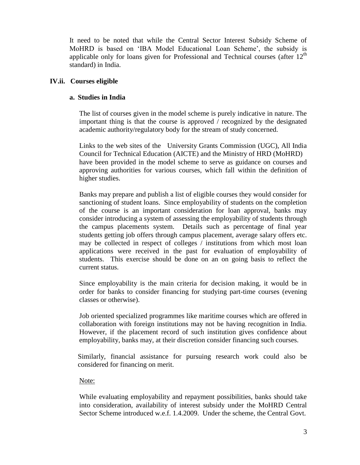It need to be noted that while the Central Sector Interest Subsidy Scheme of MoHRD is based on "IBA Model Educational Loan Scheme", the subsidy is applicable only for loans given for Professional and Technical courses (after  $12<sup>th</sup>$ standard) in India.

# **IV.ii. Courses eligible**

# **a. Studies in India**

The list of courses given in the model scheme is purely indicative in nature. The important thing is that the course is approved / recognized by the designated academic authority/regulatory body for the stream of study concerned.

Links to the web sites of the University Grants Commission (UGC), All India Council for Technical Education (AICTE) and the Ministry of HRD (MoHRD) have been provided in the model scheme to serve as guidance on courses and approving authorities for various courses, which fall within the definition of higher studies.

Banks may prepare and publish a list of eligible courses they would consider for sanctioning of student loans. Since employability of students on the completion of the course is an important consideration for loan approval, banks may consider introducing a system of assessing the employability of students through the campus placements system. Details such as percentage of final year students getting job offers through campus placement, average salary offers etc. may be collected in respect of colleges / institutions from which most loan applications were received in the past for evaluation of employability of students. This exercise should be done on an on going basis to reflect the current status.

Since employability is the main criteria for decision making, it would be in order for banks to consider financing for studying part-time courses (evening classes or otherwise).

Job oriented specialized programmes like maritime courses which are offered in collaboration with foreign institutions may not be having recognition in India. However, if the placement record of such institution gives confidence about employability, banks may, at their discretion consider financing such courses.

Similarly, financial assistance for pursuing research work could also be considered for financing on merit.

# Note:

While evaluating employability and repayment possibilities, banks should take into consideration, availability of interest subsidy under the MoHRD Central Sector Scheme introduced w.e.f. 1.4.2009. Under the scheme, the Central Govt.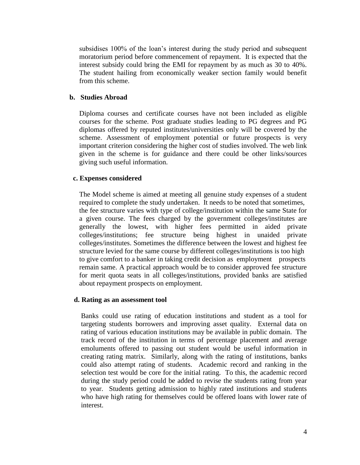subsidises 100% of the loan"s interest during the study period and subsequent moratorium period before commencement of repayment. It is expected that the interest subsidy could bring the EMI for repayment by as much as 30 to 40%. The student hailing from economically weaker section family would benefit from this scheme.

# **b. Studies Abroad**

Diploma courses and certificate courses have not been included as eligible courses for the scheme. Post graduate studies leading to PG degrees and PG diplomas offered by reputed institutes/universities only will be covered by the scheme. Assessment of employment potential or future prospects is very important criterion considering the higher cost of studies involved. The web link given in the scheme is for guidance and there could be other links/sources giving such useful information.

### **c. Expenses considered**

The Model scheme is aimed at meeting all genuine study expenses of a student required to complete the study undertaken. It needs to be noted that sometimes, the fee structure varies with type of college/institution within the same State for a given course. The fees charged by the government colleges/institutes are generally the lowest, with higher fees permitted in aided private colleges/institutions; fee structure being highest in unaided private colleges/institutes. Sometimes the difference between the lowest and highest fee structure levied for the same course by different colleges/institutions is too high to give comfort to a banker in taking credit decision as employment prospects remain same. A practical approach would be to consider approved fee structure for merit quota seats in all colleges/institutions, provided banks are satisfied about repayment prospects on employment.

### **d. Rating as an assessment tool**

Banks could use rating of education institutions and student as a tool for targeting students borrowers and improving asset quality. External data on rating of various education institutions may be available in public domain. The track record of the institution in terms of percentage placement and average emoluments offered to passing out student would be useful information in creating rating matrix. Similarly, along with the rating of institutions, banks could also attempt rating of students. Academic record and ranking in the selection test would be core for the initial rating. To this, the academic record during the study period could be added to revise the students rating from year to year. Students getting admission to highly rated institutions and students who have high rating for themselves could be offered loans with lower rate of interest.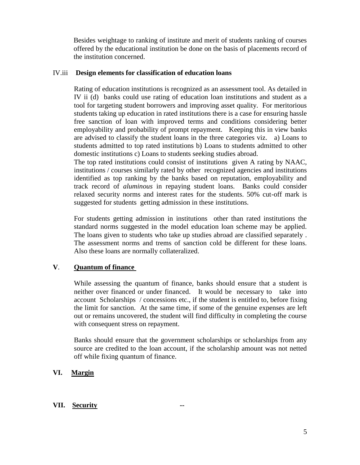Besides weightage to ranking of institute and merit of students ranking of courses offered by the educational institution be done on the basis of placements record of the institution concerned.

### IV.iii **Design elements for classification of education loans**

Rating of education institutions is recognized as an assessment tool. As detailed in IV ii (d) banks could use rating of education loan institutions and student as a tool for targeting student borrowers and improving asset quality. For meritorious students taking up education in rated institutions there is a case for ensuring hassle free sanction of loan with improved terms and conditions considering better employability and probability of prompt repayment. Keeping this in view banks are advised to classify the student loans in the three categories viz. a) Loans to students admitted to top rated institutions b) Loans to students admitted to other domestic institutions c) Loans to students seeking studies abroad.

The top rated institutions could consist of institutions given A rating by NAAC, institutions / courses similarly rated by other recognized agencies and institutions identified as top ranking by the banks based on reputation, employability and track record of *aluminous* in repaying student loans. Banks could consider relaxed security norms and interest rates for the students. 50% cut-off mark is suggested for students getting admission in these institutions.

For students getting admission in institutions other than rated institutions the standard norms suggested in the model education loan scheme may be applied. The loans given to students who take up studies abroad are classified separately . The assessment norms and trems of sanction cold be different for these loans. Also these loans are normally collateralized.

# **V**. **Quantum of finance**

While assessing the quantum of finance, banks should ensure that a student is neither over financed or under financed. It would be necessary to take into account Scholarships / concessions etc., if the student is entitled to, before fixing the limit for sanction. At the same time, if some of the genuine expenses are left out or remains uncovered, the student will find difficulty in completing the course with consequent stress on repayment.

Banks should ensure that the government scholarships or scholarships from any source are credited to the loan account, if the scholarship amount was not netted off while fixing quantum of finance.

# **VI. Margin**

# **VII. Security --**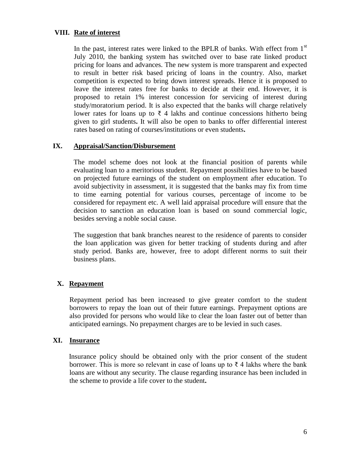# **VIII. Rate of interest**

In the past, interest rates were linked to the BPLR of banks. With effect from  $1<sup>st</sup>$ July 2010, the banking system has switched over to base rate linked product pricing for loans and advances. The new system is more transparent and expected to result in better risk based pricing of loans in the country. Also, market competition is expected to bring down interest spreads. Hence it is proposed to leave the interest rates free for banks to decide at their end. However, it is proposed to retain 1% interest concession for servicing of interest during study/moratorium period. It is also expected that the banks will charge relatively lower rates for loans up to  $\bar{\xi}$  4 lakhs and continue concessions hitherto being given to girl students**.** It will also be open to banks to offer differential interest rates based on rating of courses/institutions or even students**.**

# **IX. Appraisal/Sanction/Disbursement**

The model scheme does not look at the financial position of parents while evaluating loan to a meritorious student. Repayment possibilities have to be based on projected future earnings of the student on employment after education. To avoid subjectivity in assessment, it is suggested that the banks may fix from time to time earning potential for various courses, percentage of income to be considered for repayment etc. A well laid appraisal procedure will ensure that the decision to sanction an education loan is based on sound commercial logic, besides serving a noble social cause.

The suggestion that bank branches nearest to the residence of parents to consider the loan application was given for better tracking of students during and after study period. Banks are, however, free to adopt different norms to suit their business plans.

# **X. Repayment**

Repayment period has been increased to give greater comfort to the student borrowers to repay the loan out of their future earnings. Prepayment options are also provided for persons who would like to clear the loan faster out of better than anticipated earnings. No prepayment charges are to be levied in such cases.

# **XI. Insurance**

 Insurance policy should be obtained only with the prior consent of the student borrower. This is more so relevant in case of loans up to  $\bar{\tau}$  4 lakhs where the bank loans are without any security. The clause regarding insurance has been included in the scheme to provide a life cover to the student**.**